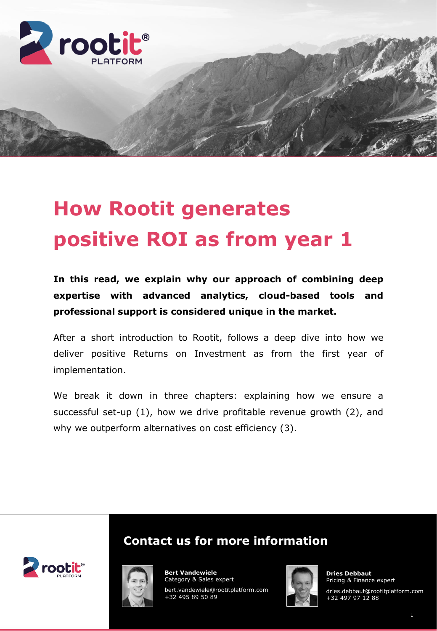

# **How Rootit generates positive ROI as from year 1**

**In this read, we explain why our approach of combining deep expertise with advanced analytics, cloud-based tools and professional support is considered unique in the market.**

After a short introduction to Rootit, follows a deep dive into how we deliver positive Returns on Investment as from the first year of implementation.

We break it down in three chapters: explaining how we ensure a successful set-up (1), how we drive profitable revenue growth (2), and why we outperform alternatives on cost efficiency (3).

## **Contact us for more information**





Rootit – How Rootit generates positive ROI as from year 1 Why the ROI on Rootit is positive as from year 1

**Bert Vandewiele** Category & Sales expert

bert.vandewiele@rootitplatform.com +32 495 89 50 89



**Dries Debbaut** Pricing & Finance expert

dries.debbaut@rootitplatform.com +32 497 97 12 88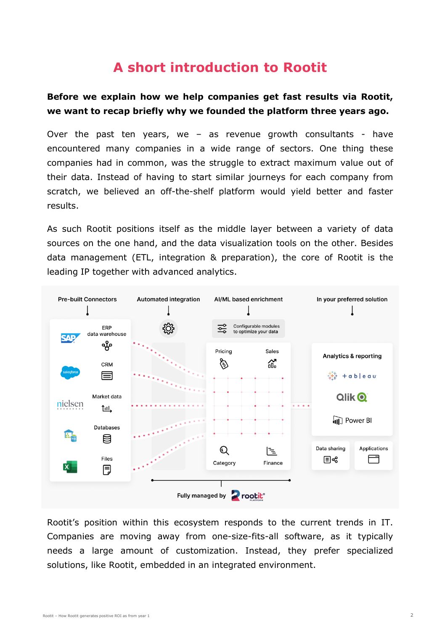## **A short introduction to Rootit**

#### **Before we explain how we help companies get fast results via Rootit, we want to recap briefly why we founded the platform three years ago.**

Over the past ten years, we  $-$  as revenue growth consultants  $-$  have encountered many companies in a wide range of sectors. One thing these companies had in common, was the struggle to extract maximum value out of their data. Instead of having to start similar journeys for each company from scratch, we believed an off-the-shelf platform would yield better and faster results.

As such Rootit positions itself as the middle layer between a variety of data sources on the one hand, and the data visualization tools on the other. Besides data management (ETL, integration & preparation), the core of Rootit is the leading IP together with advanced analytics.



Rootit's position within this ecosystem responds to the current trends in IT. Companies are moving away from one-size-fits-all software, as it typically needs a large amount of customization. Instead, they prefer specialized solutions, like Rootit, embedded in an integrated environment.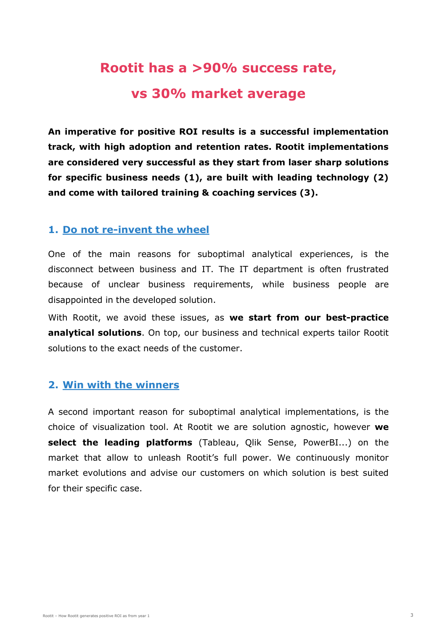## **Rootit has a >90% success rate, vs 30% market average**

**An imperative for positive ROI results is a successful implementation track, with high adoption and retention rates. Rootit implementations are considered very successful as they start from laser sharp solutions for specific business needs (1), are built with leading technology (2) and come with tailored training & coaching services (3).**

#### **1. Do not re-invent the wheel**

One of the main reasons for suboptimal analytical experiences, is the disconnect between business and IT. The IT department is often frustrated because of unclear business requirements, while business people are disappointed in the developed solution.

With Rootit, we avoid these issues, as **we start from our best-practice analytical solutions**. On top, our business and technical experts tailor Rootit solutions to the exact needs of the customer.

#### **2. Win with the winners**

A second important reason for suboptimal analytical implementations, is the choice of visualization tool. At Rootit we are solution agnostic, however **we select the leading platforms** (Tableau, Qlik Sense, PowerBI...) on the market that allow to unleash Rootit's full power. We continuously monitor market evolutions and advise our customers on which solution is best suited for their specific case.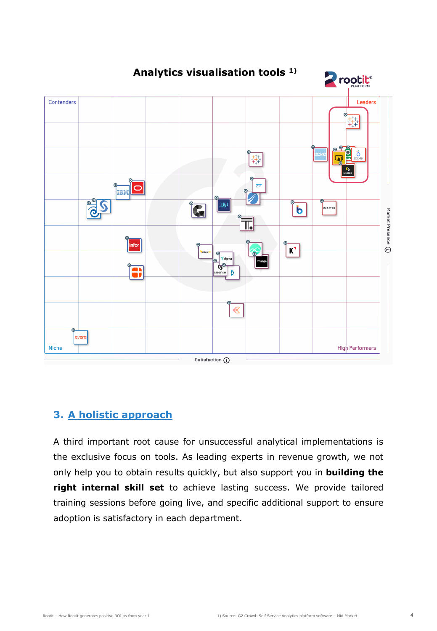

#### **3. A holistic approach**

A third important root cause for unsuccessful analytical implementations is the exclusive focus on tools. As leading experts in revenue growth, we not only help you to obtain results quickly, but also support you in **building the right internal skill set** to achieve lasting success. We provide tailored training sessions before going live, and specific additional support to ensure adoption is satisfactory in each department.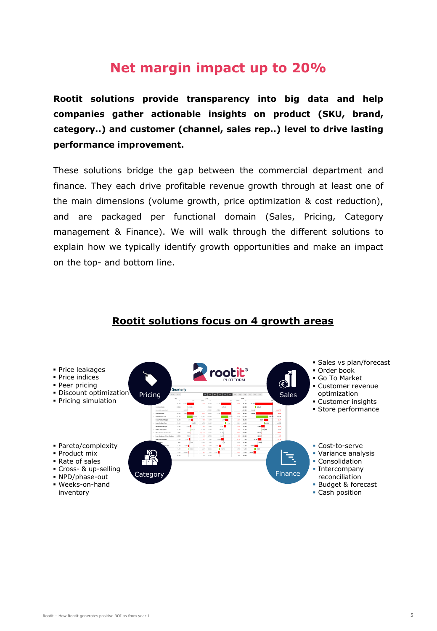## **Net margin impact up to 20%**

**Rootit solutions provide transparency into big data and help companies gather actionable insights on product (SKU, brand, category..) and customer (channel, sales rep..) level to drive lasting performance improvement.**

These solutions bridge the gap between the commercial department and finance. They each drive profitable revenue growth through at least one of the main dimensions (volume growth, price optimization & cost reduction), and are packaged per functional domain (Sales, Pricing, Category management & Finance). We will walk through the different solutions to explain how we typically identify growth opportunities and make an impact on the top- and bottom line.



#### **Rootit solutions focus on 4 growth areas**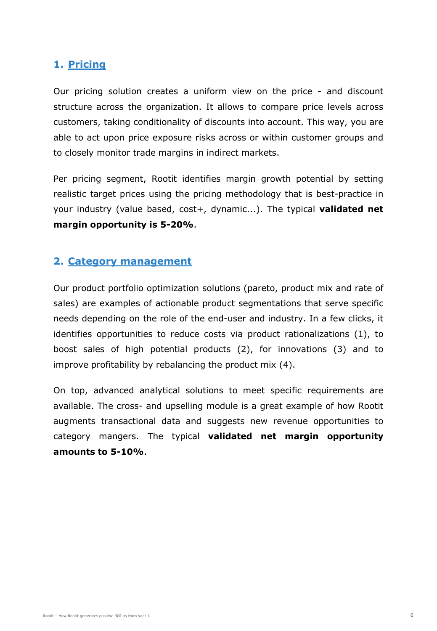#### **1. Pricing**

Our pricing solution creates a uniform view on the price - and discount structure across the organization. It allows to compare price levels across customers, taking conditionality of discounts into account. This way, you are able to act upon price exposure risks across or within customer groups and to closely monitor trade margins in indirect markets.

Per pricing segment, Rootit identifies margin growth potential by setting realistic target prices using the pricing methodology that is best-practice in your industry (value based, cost+, dynamic...). The typical **validated net margin opportunity is 5-20%**.

#### **2. Category management**

Our product portfolio optimization solutions (pareto, product mix and rate of sales) are examples of actionable product segmentations that serve specific needs depending on the role of the end-user and industry. In a few clicks, it identifies opportunities to reduce costs via product rationalizations (1), to boost sales of high potential products (2), for innovations (3) and to improve profitability by rebalancing the product mix (4).

On top, advanced analytical solutions to meet specific requirements are available. The cross- and upselling module is a great example of how Rootit augments transactional data and suggests new revenue opportunities to category mangers. The typical **validated net margin opportunity amounts to 5-10%**.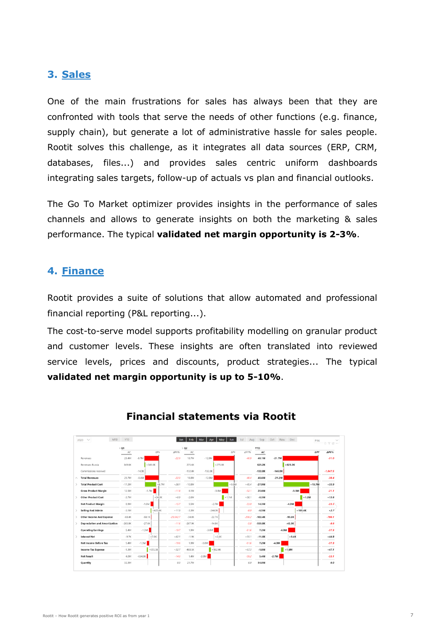#### **3. Sales**

One of the main frustrations for sales has always been that they are confronted with tools that serve the needs of other functions (e.g. finance, supply chain), but generate a lot of administrative hassle for sales people. Rootit solves this challenge, as it integrates all data sources (ERP, CRM, databases, files...) and provides sales centric uniform dashboards integrating sales targets, follow-up of actuals vs plan and financial outlooks.

The Go To Market optimizer provides insights in the performance of sales channels and allows to generate insights on both the marketing & sales performance. The typical **validated net margin opportunity is 2-3%**.

#### **4. Finance**

Rootit provides a suite of solutions that allow automated and professional financial reporting (P&L reporting...).

The cost-to-serve model supports profitability modelling on granular product and customer levels. These insights are often translated into reviewed service levels, prices and discounts, product strategies... The typical **validated net margin opportunity is up to 5-10%**.



#### **Financial statements via Rootit**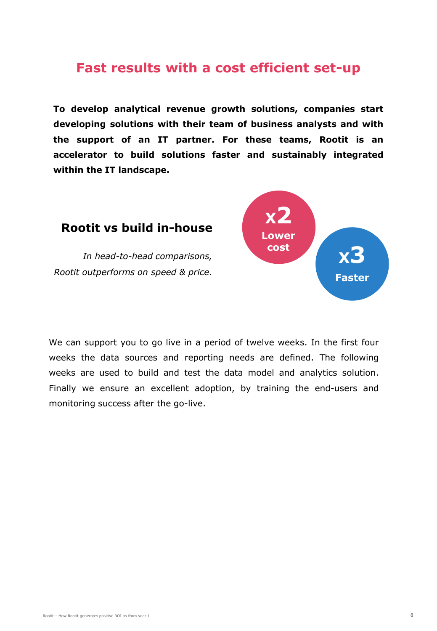## **Fast results with a cost efficient set-up**

**To develop analytical revenue growth solutions, companies start developing solutions with their team of business analysts and with the support of an IT partner. For these teams, Rootit is an accelerator to build solutions faster and sustainably integrated within the IT landscape.**

#### **Rootit vs build in-house**

*In head-to-head comparisons, Rootit outperforms on speed & price.*



We can support you to go live in a period of twelve weeks. In the first four weeks the data sources and reporting needs are defined. The following weeks are used to build and test the data model and analytics solution. Finally we ensure an excellent adoption, by training the end-users and monitoring success after the go-live.